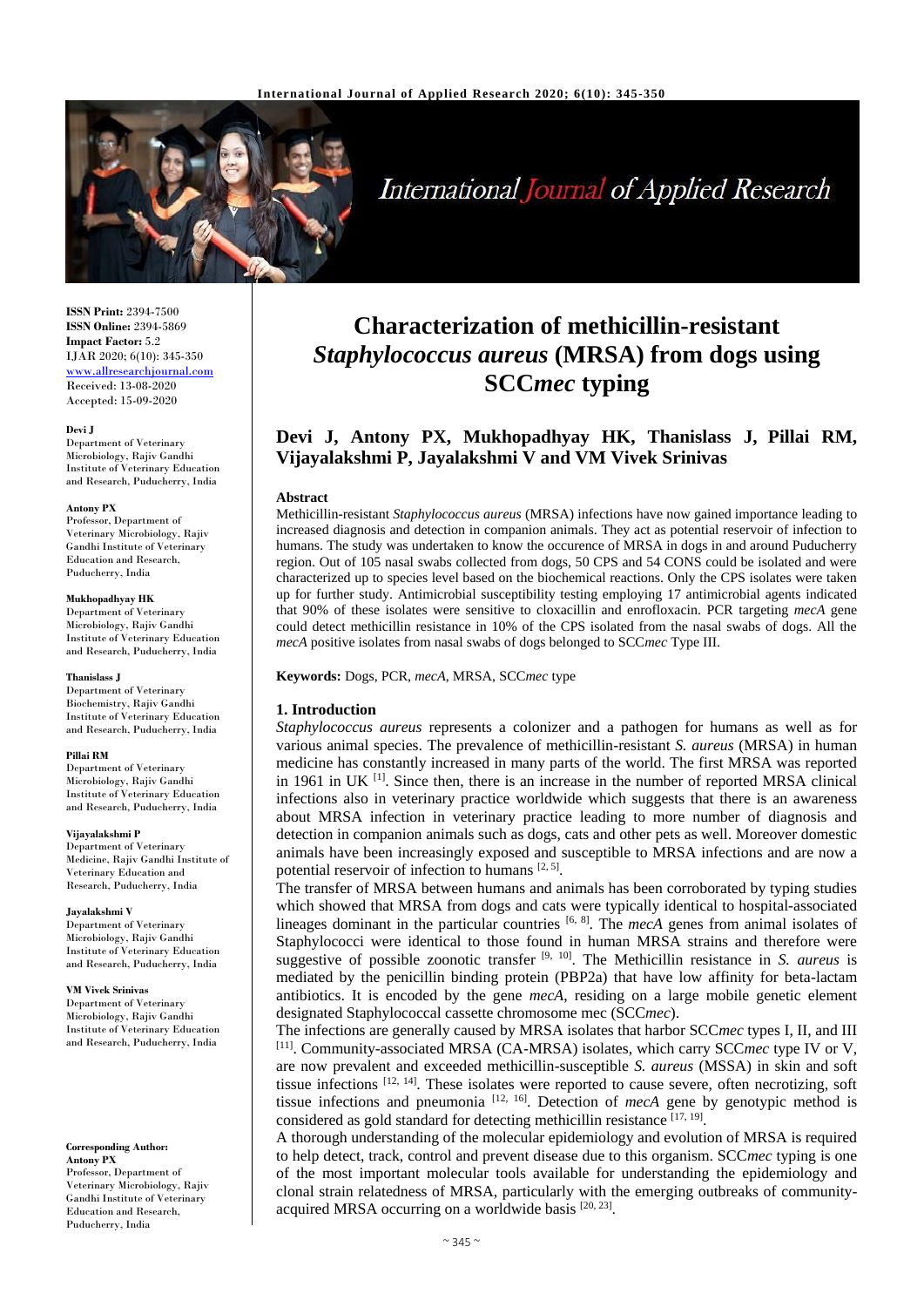

# **International Journal of Applied Research**

**ISSN Print:** 2394-7500 **ISSN Online:** 2394-5869 **Impact Factor:** 5.2 IJAR 2020; 6(10): 345-350 <www.allresearchjournal.com> Received: 13-08-2020 Accepted: 15-09-2020

#### **Devi J**

Department of Veterinary Microbiology, Rajiv Gandhi Institute of Veterinary Education and Research, Puducherry, India

#### **Antony PX**

Professor, Department of Veterinary Microbiology, Rajiv Gandhi Institute of Veterinary Education and Research, Puducherry, India

#### **Mukhopadhyay HK**

Department of Veterinary Microbiology, Rajiv Gandhi Institute of Veterinary Education and Research, Puducherry, India

#### **Thanislass J**

Department of Veterinary Biochemistry, Rajiv Gandhi Institute of Veterinary Education and Research, Puducherry, India

#### **Pillai RM**

Department of Veterinary Microbiology, Rajiy Gandhi Institute of Veterinary Education and Research, Puducherry, India

#### **Vijayalakshmi P**

Department of Veterinary Medicine, Rajiv Gandhi Institute of Veterinary Education and Research, Puducherry, India

#### **Jayalakshmi V**

Department of Veterinary Microbiology, Rajiv Gandhi Institute of Veterinary Education and Research, Puducherry, India

#### **VM Vivek Srinivas**

Department of Veterinary Microbiology, Rajiv Gandhi Institute of Veterinary Education and Research, Puducherry, India

## **Corresponding Author:**

**Antony PX** Professor, Department of Veterinary Microbiology, Rajiv Gandhi Institute of Veterinary Education and Research, Puducherry, India

# **Characterization of methicillin-resistant**  *Staphylococcus aureus* **(MRSA) from dogs using SCC***mec* **typing**

## **Devi J, Antony PX, Mukhopadhyay HK, Thanislass J, Pillai RM, Vijayalakshmi P, Jayalakshmi V and VM Vivek Srinivas**

#### **Abstract**

Methicillin-resistant *Staphylococcus aureus* (MRSA) infections have now gained importance leading to increased diagnosis and detection in companion animals. They act as potential reservoir of infection to humans. The study was undertaken to know the occurence of MRSA in dogs in and around Puducherry region. Out of 105 nasal swabs collected from dogs, 50 CPS and 54 CONS could be isolated and were characterized up to species level based on the biochemical reactions. Only the CPS isolates were taken up for further study. Antimicrobial susceptibility testing employing 17 antimicrobial agents indicated that 90% of these isolates were sensitive to cloxacillin and enrofloxacin. PCR targeting *mecA* gene could detect methicillin resistance in 10% of the CPS isolated from the nasal swabs of dogs. All the *mecA* positive isolates from nasal swabs of dogs belonged to SCC*mec* Type III.

**Keywords:** Dogs, PCR, *mecA*, MRSA, SCC*mec* type

#### **1. Introduction**

*Staphylococcus aureus* represents a colonizer and a pathogen for humans as well as for various animal species. The prevalence of methicillin-resistant *S. aureus* (MRSA) in human medicine has constantly increased in many parts of the world. The first MRSA was reported in 1961 in UK<sup>[1]</sup>. Since then, there is an increase in the number of reported MRSA clinical infections also in veterinary practice worldwide which suggests that there is an awareness about MRSA infection in veterinary practice leading to more number of diagnosis and detection in companion animals such as dogs, cats and other pets as well. Moreover domestic animals have been increasingly exposed and susceptible to MRSA infections and are now a potential reservoir of infection to humans [2, 5].

The transfer of MRSA between humans and animals has been corroborated by typing studies which showed that MRSA from dogs and cats were typically identical to hospital-associated lineages dominant in the particular countries <sup>[6, 8]</sup>. The *mecA* genes from animal isolates of Staphylococci were identical to those found in human MRSA strains and therefore were suggestive of possible zoonotic transfer  $[9, 10]$ . The Methicillin resistance in *S. aureus* is mediated by the penicillin binding protein (PBP2a) that have low affinity for beta-lactam antibiotics. It is encoded by the gene *mecA*, residing on a large mobile genetic element designated Staphylococcal cassette chromosome mec (SCC*mec*).

The infections are generally caused by MRSA isolates that harbor SCC*mec* types I, II, and III [11]. Community-associated MRSA (CA-MRSA) isolates, which carry SCCmec type IV or V, are now prevalent and exceeded methicillin-susceptible *S. aureus* (MSSA) in skin and soft tissue infections [12, 14]. These isolates were reported to cause severe, often necrotizing, soft tissue infections and pneumonia  $[12, 16]$ . Detection of *mecA* gene by genotypic method is considered as gold standard for detecting methicillin resistance [17, 19].

A thorough understanding of the molecular epidemiology and evolution of MRSA is required to help detect, track, control and prevent disease due to this organism. SCC*mec* typing is one of the most important molecular tools available for understanding the epidemiology and clonal strain relatedness of MRSA, particularly with the emerging outbreaks of communityacquired MRSA occurring on a worldwide basis [20, 23].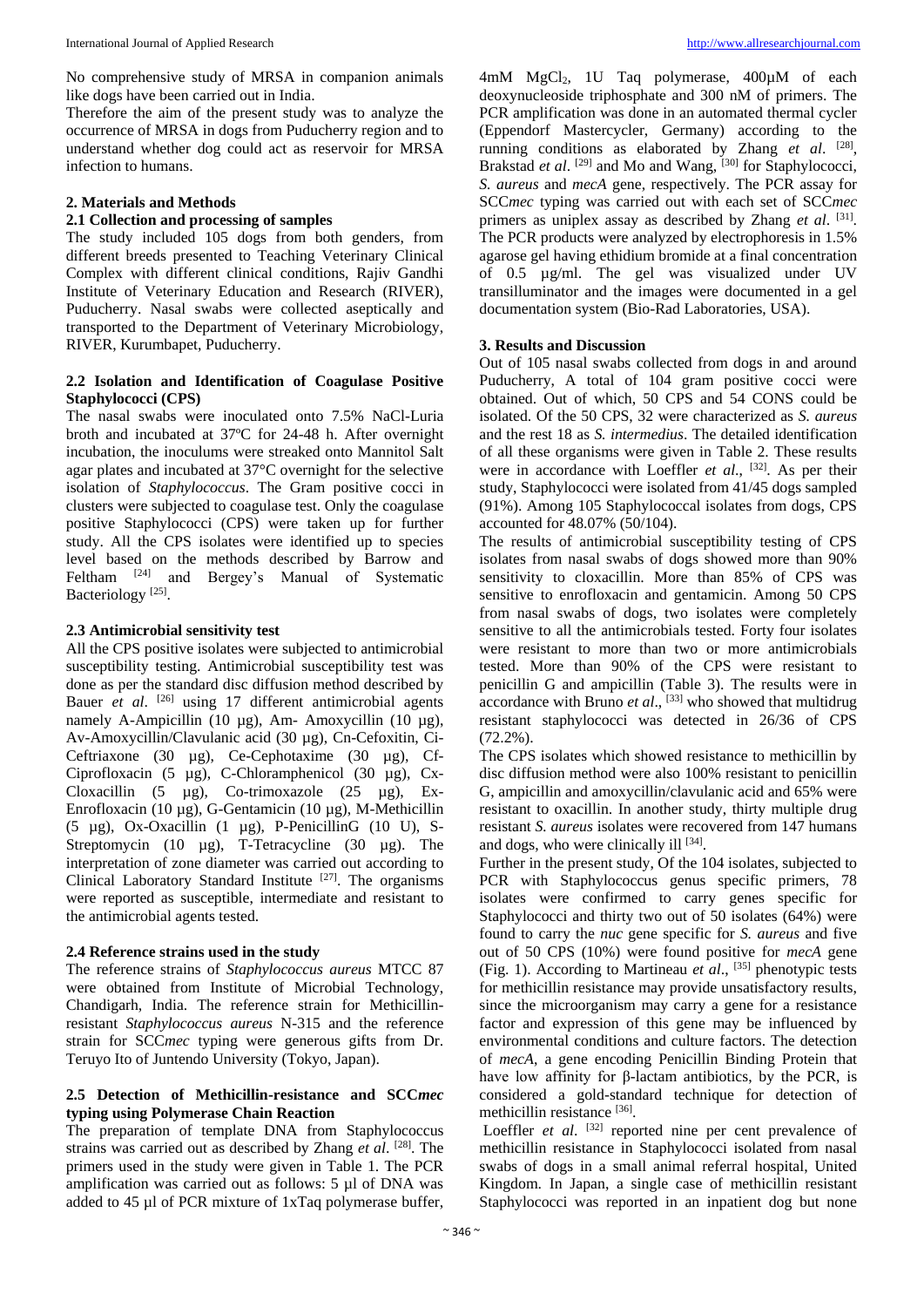No comprehensive study of MRSA in companion animals like dogs have been carried out in India.

Therefore the aim of the present study was to analyze the occurrence of MRSA in dogs from Puducherry region and to understand whether dog could act as reservoir for MRSA infection to humans.

## **2. Materials and Methods**

## **2.1 Collection and processing of samples**

The study included 105 dogs from both genders, from different breeds presented to Teaching Veterinary Clinical Complex with different clinical conditions, Rajiv Gandhi Institute of Veterinary Education and Research (RIVER), Puducherry. Nasal swabs were collected aseptically and transported to the Department of Veterinary Microbiology, RIVER, Kurumbapet, Puducherry.

## **2.2 Isolation and Identification of Coagulase Positive Staphylococci (CPS)**

The nasal swabs were inoculated onto 7.5% NaCl-Luria broth and incubated at 37ºC for 24-48 h. After overnight incubation, the inoculums were streaked onto Mannitol Salt agar plates and incubated at 37°C overnight for the selective isolation of *Staphylococcus*. The Gram positive cocci in clusters were subjected to coagulase test. Only the coagulase positive Staphylococci (CPS) were taken up for further study. All the CPS isolates were identified up to species level based on the methods described by Barrow and Feltham <sup>[24]</sup> and Bergey's Manual of Systematic Bacteriology<sup>[25]</sup>.

## **2.3 Antimicrobial sensitivity test**

All the CPS positive isolates were subjected to antimicrobial susceptibility testing. Antimicrobial susceptibility test was done as per the standard disc diffusion method described by Bauer *et al.* <sup>[26]</sup> using 17 different antimicrobial agents namely A-Ampicillin (10 µg), Am- Amoxycillin (10 µg), Av-Amoxycillin/Clavulanic acid (30 µg), Cn-Cefoxitin, Ci-Ceftriaxone (30 µg), Ce-Cephotaxime (30 µg), Cf-Ciprofloxacin (5 µg), C-Chloramphenicol (30 µg), Cx-Cloxacillin  $(5 \text{ µg})$ , Co-trimoxazole  $(25 \text{ µg})$ , Ex-Enrofloxacin (10 µg), G-Gentamicin (10 µg), M-Methicillin (5 µg), Ox-Oxacillin (1 µg), P-PenicillinG (10 U), S-Streptomycin (10 µg), T-Tetracycline (30 µg). The interpretation of zone diameter was carried out according to Clinical Laboratory Standard Institute<sup>[27]</sup>. The organisms were reported as susceptible, intermediate and resistant to the antimicrobial agents tested.

## **2.4 Reference strains used in the study**

The reference strains of *Staphylococcus aureus* MTCC 87 were obtained from Institute of Microbial Technology, Chandigarh, India. The reference strain for Methicillinresistant *Staphylococcus aureus* N-315 and the reference strain for SCC*mec* typing were generous gifts from Dr. Teruyo Ito of Juntendo University (Tokyo, Japan).

## **2.5 Detection of Methicillin-resistance and SCC***mec*  **typing using Polymerase Chain Reaction**

The preparation of template DNA from Staphylococcus strains was carried out as described by Zhang *et al*. [28] . The primers used in the study were given in Table 1. The PCR amplification was carried out as follows: 5 µl of DNA was added to 45 µl of PCR mixture of 1xTaq polymerase buffer,

4mM MgCl2, 1U Taq polymerase, 400µM of each deoxynucleoside triphosphate and 300 nM of primers. The PCR amplification was done in an automated thermal cycler (Eppendorf Mastercycler, Germany) according to the running conditions as elaborated by Zhang et al. <sup>[28]</sup>, Brakstad et al.<sup>[29]</sup> and Mo and Wang, <sup>[30]</sup> for Staphylococci, *S. aureus* and *mecA* gene, respectively. The PCR assay for SCC*mec* typing was carried out with each set of SCC*mec* primers as uniplex assay as described by Zhang et al. <sup>[31]</sup>. The PCR products were analyzed by electrophoresis in 1.5% agarose gel having ethidium bromide at a final concentration of 0.5 µg/ml. The gel was visualized under UV transilluminator and the images were documented in a gel documentation system (Bio-Rad Laboratories, USA).

#### **3. Results and Discussion**

Out of 105 nasal swabs collected from dogs in and around Puducherry, A total of 104 gram positive cocci were obtained. Out of which, 50 CPS and 54 CONS could be isolated. Of the 50 CPS, 32 were characterized as *S. aureus* and the rest 18 as *S. intermedius*. The detailed identification of all these organisms were given in Table 2. These results were in accordance with Loeffler *et al.*, <sup>[32]</sup>. As per their study, Staphylococci were isolated from 41/45 dogs sampled (91%). Among 105 Staphylococcal isolates from dogs, CPS accounted for 48.07% (50/104).

The results of antimicrobial susceptibility testing of CPS isolates from nasal swabs of dogs showed more than 90% sensitivity to cloxacillin. More than 85% of CPS was sensitive to enrofloxacin and gentamicin. Among 50 CPS from nasal swabs of dogs, two isolates were completely sensitive to all the antimicrobials tested. Forty four isolates were resistant to more than two or more antimicrobials tested. More than 90% of the CPS were resistant to penicillin G and ampicillin (Table 3). The results were in accordance with Bruno *et al*., [33] who showed that multidrug resistant staphylococci was detected in 26/36 of CPS (72.2%).

The CPS isolates which showed resistance to methicillin by disc diffusion method were also 100% resistant to penicillin G, ampicillin and amoxycillin/clavulanic acid and 65% were resistant to oxacillin. In another study, thirty multiple drug resistant *S. aureus* isolates were recovered from 147 humans and dogs, who were clinically ill [34].

Further in the present study, Of the 104 isolates, subjected to PCR with Staphylococcus genus specific primers, 78 isolates were confirmed to carry genes specific for Staphylococci and thirty two out of 50 isolates (64%) were found to carry the *nuc* gene specific for *S. aureus* and five out of 50 CPS (10%) were found positive for *mecA* gene (Fig. 1). According to Martineau *et al*., [35] phenotypic tests for methicillin resistance may provide unsatisfactory results, since the microorganism may carry a gene for a resistance factor and expression of this gene may be influenced by environmental conditions and culture factors. The detection of *mecA*, a gene encoding Penicillin Binding Protein that have low affinity for β-lactam antibiotics, by the PCR, is considered a gold-standard technique for detection of methicillin resistance [36] .

Loeffler *et al.* <sup>[32]</sup> reported nine per cent prevalence of methicillin resistance in Staphylococci isolated from nasal swabs of dogs in a small animal referral hospital, United Kingdom. In Japan, a single case of methicillin resistant Staphylococci was reported in an inpatient dog but none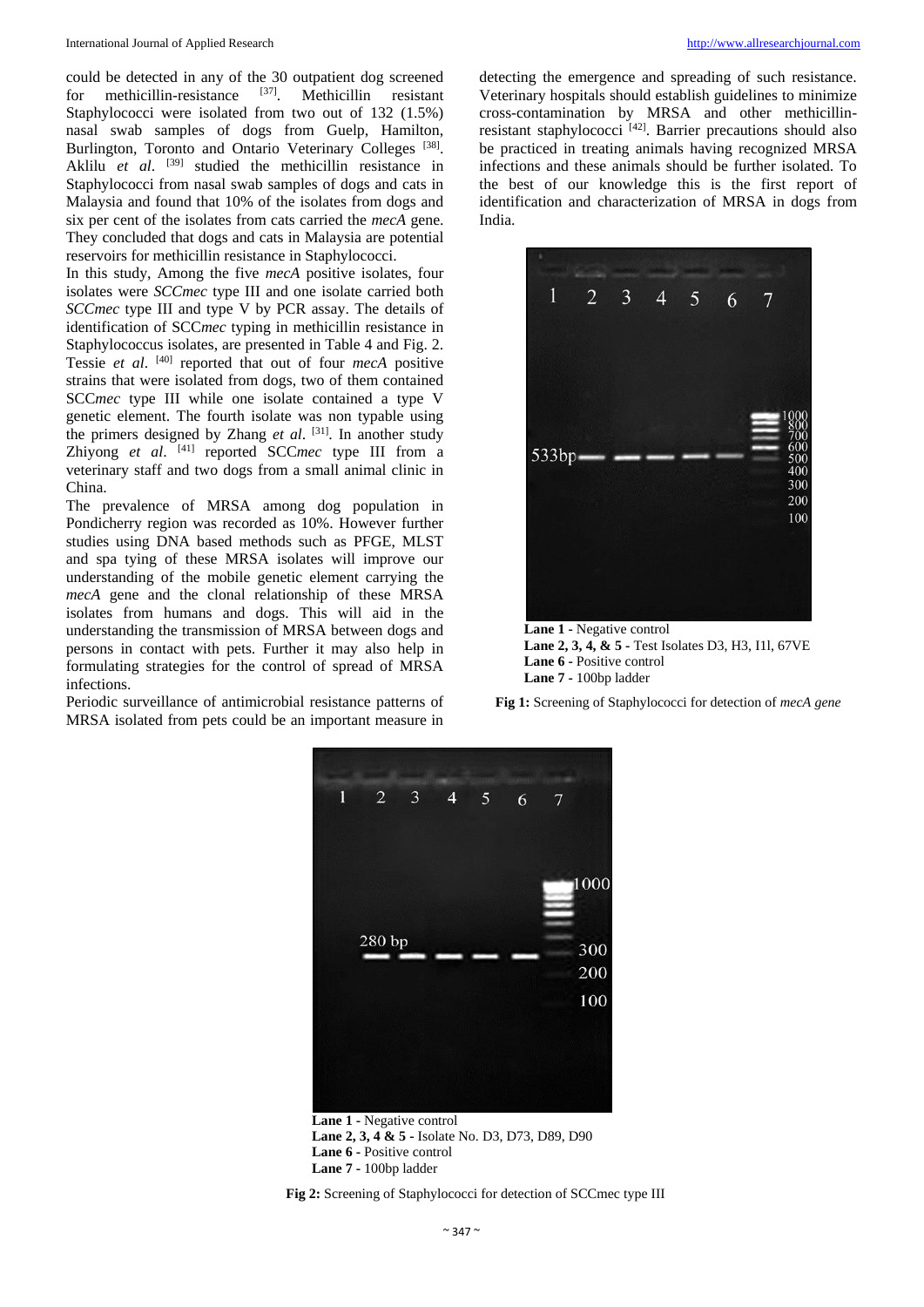could be detected in any of the 30 outpatient dog screened for methicillin-resistance [37] . Methicillin resistant Staphylococci were isolated from two out of 132 (1.5%) nasal swab samples of dogs from Guelp, Hamilton, Burlington, Toronto and Ontario Veterinary Colleges<sup>[38]</sup>. Aklilu *et al*. [39] studied the methicillin resistance in Staphylococci from nasal swab samples of dogs and cats in Malaysia and found that 10% of the isolates from dogs and six per cent of the isolates from cats carried the *mecA* gene. They concluded that dogs and cats in Malaysia are potential reservoirs for methicillin resistance in Staphylococci.

In this study, Among the five *mecA* positive isolates, four isolates were *SCCmec* type III and one isolate carried both *SCCmec* type III and type V by PCR assay. The details of identification of SCC*mec* typing in methicillin resistance in Staphylococcus isolates, are presented in Table 4 and Fig. 2. Tessie *et al*. [40] reported that out of four *mecA* positive strains that were isolated from dogs, two of them contained SCC*mec* type III while one isolate contained a type V genetic element. The fourth isolate was non typable using the primers designed by Zhang *et al*. [31] . In another study Zhiyong et al. <sup>[41]</sup> reported SCCmec type III from a veterinary staff and two dogs from a small animal clinic in China.

The prevalence of MRSA among dog population in Pondicherry region was recorded as 10%. However further studies using DNA based methods such as PFGE, MLST and spa tying of these MRSA isolates will improve our understanding of the mobile genetic element carrying the *mecA* gene and the clonal relationship of these MRSA isolates from humans and dogs. This will aid in the understanding the transmission of MRSA between dogs and persons in contact with pets. Further it may also help in formulating strategies for the control of spread of MRSA infections.

Periodic surveillance of antimicrobial resistance patterns of MRSA isolated from pets could be an important measure in

detecting the emergence and spreading of such resistance. Veterinary hospitals should establish guidelines to minimize cross-contamination by MRSA and other methicillinresistant staphylococci<sup>[42]</sup>. Barrier precautions should also be practiced in treating animals having recognized MRSA infections and these animals should be further isolated. To the best of our knowledge this is the first report of identification and characterization of MRSA in dogs from India.



**Lane 1 -** Negative control **Lane 2, 3, 4, & 5 -** Test Isolates D3, H3, I1l, 67VE **Lane 6 -** Positive control **Lane 7 -** 100bp ladder





**Lane 1 -** Negative control **Lane 2, 3, 4 & 5 -** Isolate No. D3, D73, D89, D90 **Lane 6 -** Positive control **Lane 7 -** 100bp ladder

**Fig 2:** Screening of Staphylococci for detection of SCCmec type III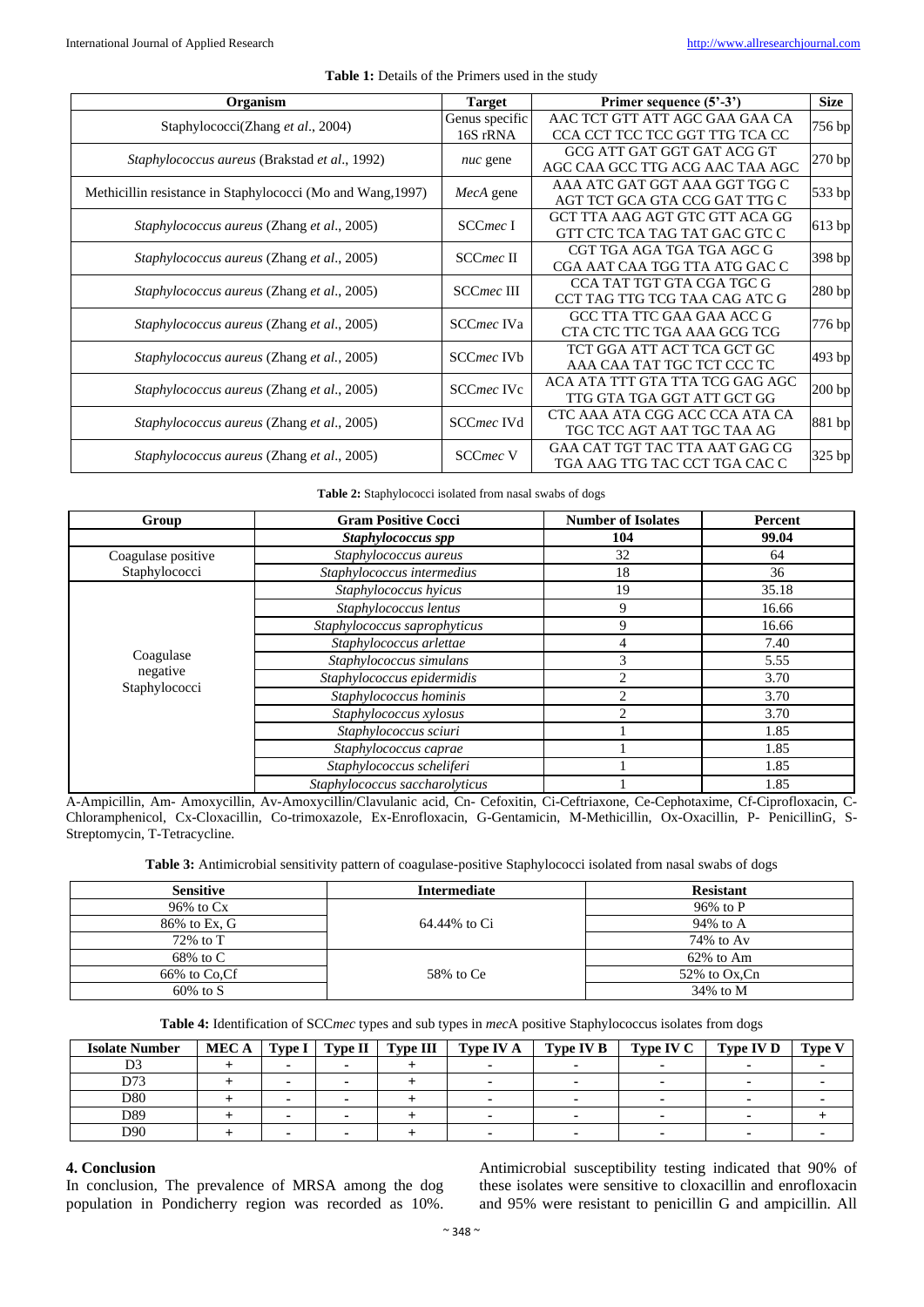| Organism                                                    | <b>Target</b>        | Primer sequence (5'-3')         |          |  |
|-------------------------------------------------------------|----------------------|---------------------------------|----------|--|
| Staphylococci(Zhang et al., 2004)                           | Genus specific       | AAC TCT GTT ATT AGC GAA GAA CA  | 756 bp   |  |
|                                                             | 16S rRNA             | CCA CCT TCC TCC GGT TTG TCA CC  |          |  |
| Staphylococcus aureus (Brakstad et al., 1992)               |                      | GCG ATT GAT GGT GAT ACG GT      | 270 bp   |  |
|                                                             | nuc gene             | AGC CAA GCC TTG ACG AAC TAA AGC |          |  |
| Methicillin resistance in Staphylococci (Mo and Wang, 1997) | MecA gene            | AAA ATC GAT GGT AAA GGT TGG C   | 533 bp   |  |
|                                                             |                      | AGT TCT GCA GTA CCG GAT TTG C   |          |  |
| Staphylococcus aureus (Zhang et al., 2005)                  | SCC <sub>mec</sub> I | GCT TTA AAG AGT GTC GTT ACA GG  |          |  |
|                                                             |                      | GTT CTC TCA TAG TAT GAC GTC C   | 613 bp   |  |
| Staphylococcus aureus (Zhang et al., 2005)                  | SCCmec II            | CGT TGA AGA TGA TGA AGC G       | 398 bp   |  |
|                                                             |                      | CGA AAT CAA TGG TTA ATG GAC C   |          |  |
| Staphylococcus aureus (Zhang et al., 2005)                  | <b>SCCmec III</b>    | CCA TAT TGT GTA CGA TGC G       | 280 bp   |  |
|                                                             |                      | CCT TAG TTG TCG TAA CAG ATC G   |          |  |
| <i>Staphylococcus aureus (Zhang et al., 2005)</i>           | SCCmec IVa           | GCC TTA TTC GAA GAA ACC G       | 776 bp   |  |
|                                                             |                      | CTA CTC TTC TGA AAA GCG TCG     |          |  |
| Staphylococcus aureus (Zhang et al., 2005)                  | SCCmec IVb           | TCT GGA ATT ACT TCA GCT GC      | 493 bp   |  |
|                                                             |                      | AAA CAA TAT TGC TCT CCC TC      |          |  |
| <i>Staphylococcus aureus (Zhang et al., 2005)</i>           | SCCmec IVc           | ACA ATA TTT GTA TTA TCG GAG AGC | $200$ bp |  |
|                                                             |                      | TTG GTA TGA GGT ATT GCT GG      |          |  |
| Staphylococcus aureus (Zhang et al., 2005)                  | SCCmec IVd           | CTC AAA ATA CGG ACC CCA ATA CA  | 881 bp   |  |
|                                                             |                      | TGC TCC AGT AAT TGC TAA AG      |          |  |
| <i>Staphylococcus aureus (Zhang et al., 2005)</i>           | <b>SCCmec V</b>      | GAA CAT TGT TAC TTA AAT GAG CG  | 325 bp   |  |
|                                                             |                      | TGA AAG TTG TAC CCT TGA CAC C   |          |  |

**Table 1:** Details of the Primers used in the study

**Table 2:** Staphylococci isolated from nasal swabs of dogs

| Group              | <b>Gram Positive Cocci</b>     | <b>Number of Isolates</b> | Percent |  |
|--------------------|--------------------------------|---------------------------|---------|--|
|                    | Staphylococcus spp             | 104                       | 99.04   |  |
| Coagulase positive | Staphylococcus aureus          | 32                        | 64      |  |
| Staphylococci      | Staphylococcus intermedius     | 18                        | 36      |  |
|                    | Staphylococcus hyicus          | 19                        | 35.18   |  |
|                    | Staphylococcus lentus          | 9                         | 16.66   |  |
|                    | Staphylococcus saprophyticus   | 9                         | 16.66   |  |
|                    | Staphylococcus arlettae        | 4                         | 7.40    |  |
| Coagulase          | Staphylococcus simulans        | 3                         | 5.55    |  |
| negative           | Staphylococcus epidermidis     | $\mathfrak{D}$            | 3.70    |  |
| Staphylococci      | Staphylococcus hominis         | $\overline{c}$            | 3.70    |  |
|                    | Staphylococcus xylosus         | $\mathfrak{D}$            | 3.70    |  |
|                    | Staphylococcus sciuri          |                           | 1.85    |  |
|                    | Staphylococcus caprae          |                           | 1.85    |  |
|                    | Staphylococcus scheliferi      |                           | 1.85    |  |
|                    | Staphylococcus saccharolyticus |                           | 1.85    |  |

A-Ampicillin, Am- Amoxycillin, Av-Amoxycillin/Clavulanic acid, Cn- Cefoxitin, Ci-Ceftriaxone, Ce-Cephotaxime, Cf-Ciprofloxacin, C-Chloramphenicol, Cx-Cloxacillin, Co-trimoxazole, Ex-Enrofloxacin, G-Gentamicin, M-Methicillin, Ox-Oxacillin, P- PenicillinG, S-Streptomycin, T-Tetracycline.

|  |  |  | Table 3: Antimicrobial sensitivity pattern of coagulase-positive Staphylococci isolated from nasal swabs of dogs |
|--|--|--|------------------------------------------------------------------------------------------------------------------|
|--|--|--|------------------------------------------------------------------------------------------------------------------|

| <b>Sensitive</b> | <b>Intermediate</b> | <b>Resistant</b> |  |  |
|------------------|---------------------|------------------|--|--|
| $96\%$ to $Cx$   |                     | 96% to P         |  |  |
| 86% to Ex, G     | 64.44% to Ci        | 94% to A         |  |  |
| $72\%$ to T      |                     | 74% to Av        |  |  |
| $68\%$ to C      |                     | $62\%$ to Am     |  |  |
| 66% to Co.Cf     | 58% to Ce           | $52\%$ to Ox, Cn |  |  |
| $60\%$ to S      |                     | $34\%$ to M      |  |  |

**Table 4:** Identification of SCC*mec* types and sub types in *mec*A positive Staphylococcus isolates from dogs

| <b>Isolate Number</b> | MEC A |  | $\Gamma$ Type I   $\Gamma$ Type II   $\Gamma$ Type III | Type IV A | Type IV B | <b>Type IV C</b> | Type IV D | <b>Type V</b> |
|-----------------------|-------|--|--------------------------------------------------------|-----------|-----------|------------------|-----------|---------------|
| D3                    |       |  |                                                        |           |           |                  |           |               |
| D73                   |       |  |                                                        |           |           |                  |           |               |
| D80                   |       |  |                                                        |           |           |                  |           |               |
| D89                   |       |  |                                                        |           |           |                  |           |               |
| D90                   |       |  |                                                        |           |           |                  |           |               |

## **4. Conclusion**

In conclusion, The prevalence of MRSA among the dog population in Pondicherry region was recorded as 10%.

Antimicrobial susceptibility testing indicated that 90% of these isolates were sensitive to cloxacillin and enrofloxacin and 95% were resistant to penicillin G and ampicillin. All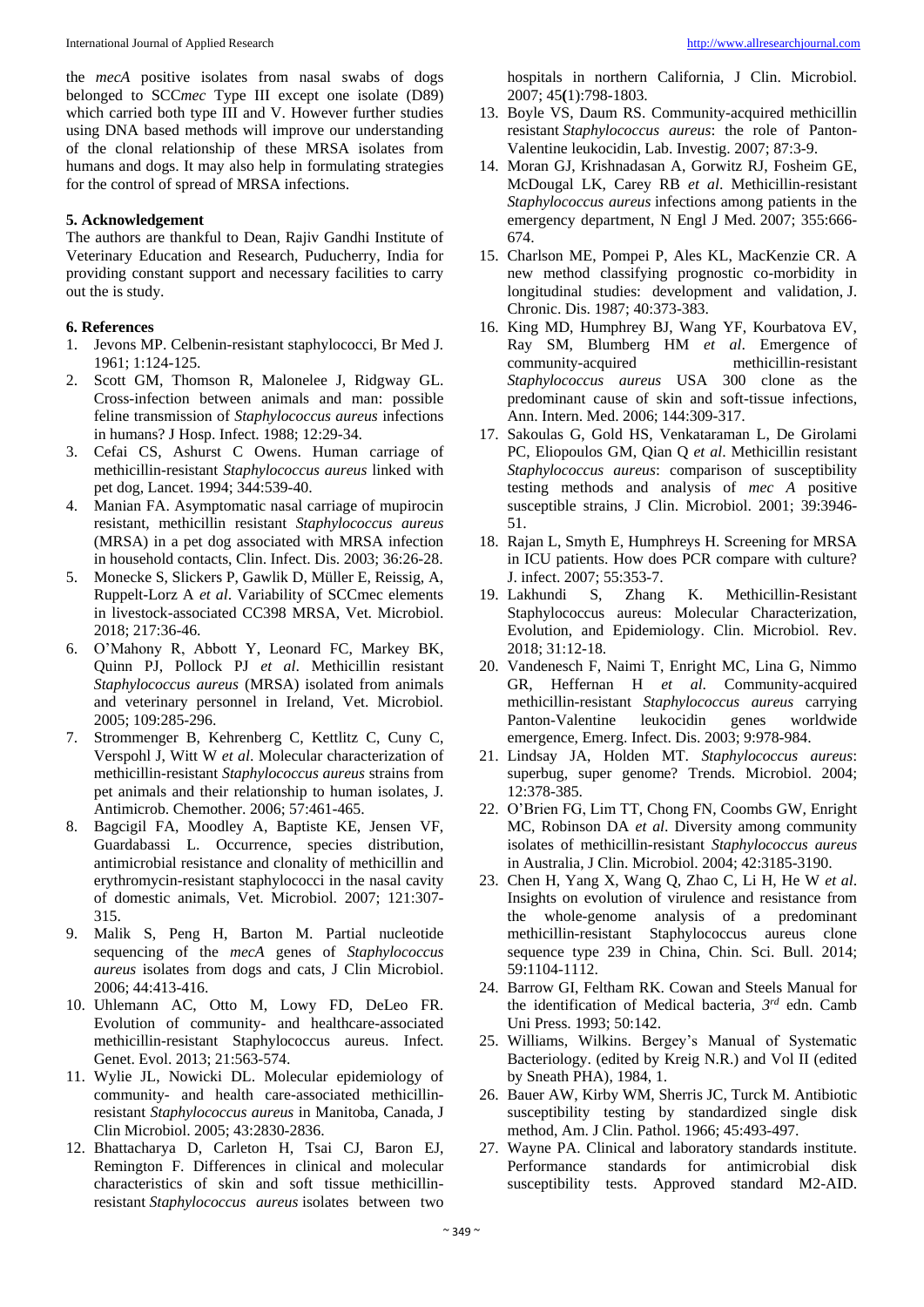the *mecA* positive isolates from nasal swabs of dogs belonged to SCC*mec* Type III except one isolate (D89) which carried both type III and V. However further studies using DNA based methods will improve our understanding of the clonal relationship of these MRSA isolates from humans and dogs. It may also help in formulating strategies for the control of spread of MRSA infections.

## **5. Acknowledgement**

The authors are thankful to Dean, Rajiv Gandhi Institute of Veterinary Education and Research, Puducherry, India for providing constant support and necessary facilities to carry out the is study.

## **6. References**

- 1. Jevons MP. Celbenin-resistant staphylococci, Br Med J*.* 1961; 1:124-125.
- 2. Scott GM, Thomson R, Malonelee J, Ridgway GL. Cross-infection between animals and man: possible feline transmission of *Staphylococcus aureus* infections in humans? J Hosp. Infect. 1988; 12:29-34.
- 3. Cefai CS, Ashurst C Owens. Human carriage of methicillin-resistant *Staphylococcus aureus* linked with pet dog, Lancet. 1994; 344:539-40.
- 4. Manian FA. Asymptomatic nasal carriage of mupirocin resistant, methicillin resistant *Staphylococcus aureus*  (MRSA) in a pet dog associated with MRSA infection in household contacts, Clin. Infect. Dis. 2003; 36:26-28.
- 5. Monecke S, Slickers P, Gawlik D, Müller E, Reissig, A, Ruppelt-Lorz A *et al*. Variability of SCCmec elements in livestock-associated CC398 MRSA, Vet. Microbiol. 2018; 217:36-46.
- 6. O'Mahony R, Abbott Y, Leonard FC, Markey BK, Quinn PJ, Pollock PJ *et al*. Methicillin resistant *Staphylococcus aureus* (MRSA) isolated from animals and veterinary personnel in Ireland, Vet. Microbiol. 2005; 109:285-296.
- 7. Strommenger B, Kehrenberg C, Kettlitz C, Cuny C, Verspohl J, Witt W *et al*. Molecular characterization of methicillin-resistant *Staphylococcus aureus* strains from pet animals and their relationship to human isolates, J. Antimicrob. Chemother. 2006; 57:461-465.
- 8. Bagcigil FA, Moodley A, Baptiste KE, Jensen VF, Guardabassi L. Occurrence, species distribution, antimicrobial resistance and clonality of methicillin and erythromycin-resistant staphylococci in the nasal cavity of domestic animals, Vet. Microbiol. 2007; 121:307- 315.
- 9. Malik S, Peng H, Barton M. Partial nucleotide sequencing of the *mecA* genes of *Staphylococcus aureus* isolates from dogs and cats, J Clin Microbiol. 2006; 44:413-416.
- 10. Uhlemann AC, Otto M, Lowy FD, DeLeo FR. Evolution of community- and healthcare-associated methicillin-resistant Staphylococcus aureus. Infect. Genet. Evol. 2013; 21:563-574.
- 11. Wylie JL, Nowicki DL. Molecular epidemiology of community- and health care-associated methicillinresistant *Staphylococcus aureus* in Manitoba, Canada, J Clin Microbiol. 2005; 43:2830-2836.
- 12. Bhattacharya D, Carleton H, Tsai CJ, Baron EJ, Remington F. Differences in clinical and molecular characteristics of skin and soft tissue methicillinresistant *Staphylococcus aureus* isolates between two

hospitals in northern California, J Clin. Microbiol. 2007; 45**(**1):798-1803.

- 13. Boyle VS, Daum RS. Community-acquired methicillin resistant *Staphylococcus aureus*: the role of Panton-Valentine leukocidin, Lab. Investig. 2007; 87:3-9.
- 14. Moran GJ, Krishnadasan A, Gorwitz RJ, Fosheim GE, McDougal LK, Carey RB *et al*. Methicillin-resistant *Staphylococcus aureus* infections among patients in the emergency department, N Engl J Med. 2007; 355:666- 674.
- 15. Charlson ME, Pompei P, Ales KL, MacKenzie CR. A new method classifying prognostic co-morbidity in longitudinal studies: development and validation, J. Chronic. Dis. 1987; 40:373-383.
- 16. King MD, Humphrey BJ, Wang YF, Kourbatova EV, Ray SM, Blumberg HM *et al*. Emergence of community-acquired methicillin-resistant *Staphylococcus aureus* USA 300 clone as the predominant cause of skin and soft-tissue infections, Ann. Intern. Med. 2006; 144:309-317.
- 17. Sakoulas G, Gold HS, Venkataraman L, De Girolami PC, Eliopoulos GM, Qian Q *et al*. Methicillin resistant *Staphylococcus aureus*: comparison of susceptibility testing methods and analysis of *mec A* positive susceptible strains*,* J Clin. Microbiol. 2001; 39:3946- 51.
- 18. Rajan L, Smyth E, Humphreys H. Screening for MRSA in ICU patients. How does PCR compare with culture? J. infect. 2007; 55:353-7.
- 19. Lakhundi S, Zhang K. Methicillin-Resistant Staphylococcus aureus: Molecular Characterization, Evolution, and Epidemiology. Clin. Microbiol. Rev. 2018; 31:12-18.
- 20. Vandenesch F, Naimi T, Enright MC, Lina G, Nimmo GR, Heffernan H *et al*. Community-acquired methicillin-resistant *Staphylococcus aureus* carrying Panton-Valentine leukocidin genes worldwide emergence, Emerg. Infect. Dis. 2003; 9:978-984.
- 21. Lindsay JA, Holden MT. *Staphylococcus aureus*: superbug, super genome? Trends. Microbiol. 2004; 12:378-385.
- 22. O'Brien FG, Lim TT, Chong FN, Coombs GW, Enright MC, Robinson DA *et al*. Diversity among community isolates of methicillin-resistant *Staphylococcus aureus*  in Australia, J Clin. Microbiol. 2004; 42:3185-3190.
- 23. Chen H, Yang X, Wang Q, Zhao C, Li H, He W *et al*. Insights on evolution of virulence and resistance from the whole-genome analysis of a predominant methicillin-resistant Staphylococcus aureus clone sequence type 239 in China, Chin. Sci. Bull. 2014; 59:1104-1112.
- 24. Barrow GI, Feltham RK. Cowan and Steels Manual for the identification of Medical bacteria, *3 rd* edn. Camb Uni Press. 1993; 50:142.
- 25. Williams, Wilkins. Bergey's Manual of Systematic Bacteriology. (edited by Kreig N.R.) and Vol II (edited by Sneath PHA), 1984, 1.
- 26. Bauer AW, Kirby WM, Sherris JC, Turck M. Antibiotic susceptibility testing by standardized single disk method, Am. J Clin. Pathol. 1966; 45:493-497.
- 27. Wayne PA. Clinical and laboratory standards institute. Performance standards for antimicrobial disk susceptibility tests. Approved standard M2-AID.